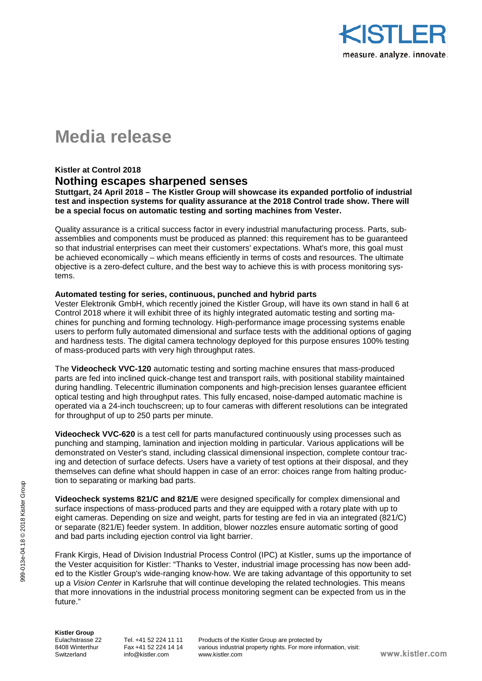

# **Media release**

## **Kistler at Control 2018 Nothing escapes sharpened senses**

**Stuttgart, 24 April 2018 – The Kistler Group will showcase its expanded portfolio of industrial test and inspection systems for quality assurance at the 2018 Control trade show. There will be a special focus on automatic testing and sorting machines from Vester.**

Quality assurance is a critical success factor in every industrial manufacturing process. Parts, subassemblies and components must be produced as planned: this requirement has to be guaranteed so that industrial enterprises can meet their customers' expectations. What's more, this goal must be achieved economically – which means efficiently in terms of costs and resources. The ultimate objective is a zero-defect culture, and the best way to achieve this is with process monitoring systems.

#### **Automated testing for series, continuous, punched and hybrid parts**

Vester Elektronik GmbH, which recently joined the Kistler Group, will have its own stand in hall 6 at Control 2018 where it will exhibit three of its highly integrated automatic testing and sorting machines for punching and forming technology. High-performance image processing systems enable users to perform fully automated dimensional and surface tests with the additional options of gaging and hardness tests. The digital camera technology deployed for this purpose ensures 100% testing of mass-produced parts with very high throughput rates.

The **Videocheck VVC-120** automatic testing and sorting machine ensures that mass-produced parts are fed into inclined quick-change test and transport rails, with positional stability maintained during handling. Telecentric illumination components and high-precision lenses guarantee efficient optical testing and high throughput rates. This fully encased, noise-damped automatic machine is operated via a 24-inch touchscreen; up to four cameras with different resolutions can be integrated for throughput of up to 250 parts per minute.

**Videocheck VVC-620** is a test cell for parts manufactured continuously using processes such as punching and stamping, lamination and injection molding in particular. Various applications will be demonstrated on Vester's stand, including classical dimensional inspection, complete contour tracing and detection of surface defects. Users have a variety of test options at their disposal, and they themselves can define what should happen in case of an error: choices range from halting production to separating or marking bad parts.

**Videocheck systems 821/C and 821/E** were designed specifically for complex dimensional and surface inspections of mass-produced parts and they are equipped with a rotary plate with up to eight cameras. Depending on size and weight, parts for testing are fed in via an integrated (821/C) or separate (821/E) feeder system. In addition, blower nozzles ensure automatic sorting of good and bad parts including ejection control via light barrier.

Frank Kirgis, Head of Division Industrial Process Control (IPC) at Kistler, sums up the importance of the Vester acquisition for Kistler: "Thanks to Vester, industrial image processing has now been added to the Kistler Group's wide-ranging know-how. We are taking advantage of this opportunity to set up a *Vision Center* in Karlsruhe that will continue developing the related technologies. This means that more innovations in the industrial process monitoring segment can be expected from us in the future."

999-013e-04.18 © 2018 Kistler Group

999-013e-04.18 @ 2018 Kistler Group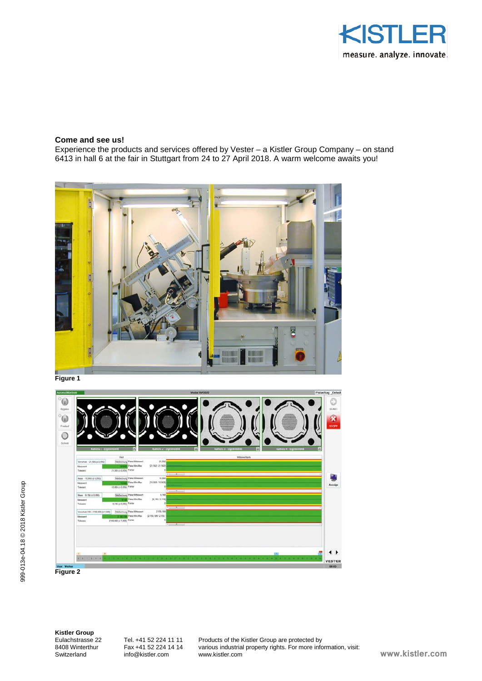

### **Come and see us!**

Experience the products and services offered by Vester – a Kistler Group Company – on stand 6413 in hall 6 at the fair in Stuttgart from 24 to 27 April 2018. A warm welcome awaits you!







**Kistler Group**

Switzerland info@kistler.com www.kistler.com

Eulachstrasse 22 Tel. +41 52 224 11 11 Products of the Kistler Group are protected by<br>8408 Winterthur Fax +41 52 224 14 14 various industrial property rights. For more info 8408 Winterthur Fax +41 52 224 14 14 various industrial property rights. For more information, visit:<br>Switzerland info@kistler.com www.kistler.com